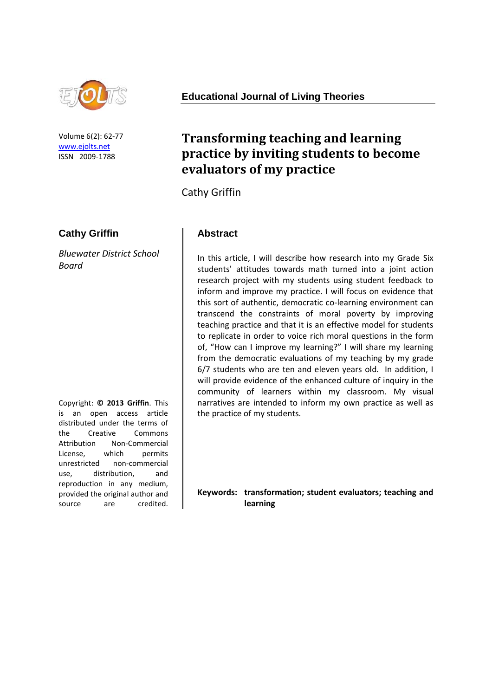

Volume 6(2): 62-77 [www.ejolts.net](http://www.ejolts.net/) ISSN 2009-1788

### **Cathy Griffin**

*Bluewater District School Board*

Copyright: **© 2013 Griffin**. This is an open access article distributed under the terms of the Creative Commons Attribution Non-Commercial License, which permits unrestricted non-commercial use, distribution, and reproduction in any medium, provided the original author and source are credited.

#### **Educational Journal of Living Theories**

# **Transforming teaching and learning practice by inviting students to become evaluators of my practice**

Cathy Griffin

#### **Abstract**

In this article, I will describe how research into my Grade Six students' attitudes towards math turned into a joint action research project with my students using student feedback to inform and improve my practice. I will focus on evidence that this sort of authentic, democratic co-learning environment can transcend the constraints of moral poverty by improving teaching practice and that it is an effective model for students to replicate in order to voice rich moral questions in the form of, "How can I improve my learning?" I will share my learning from the democratic evaluations of my teaching by my grade 6/7 students who are ten and eleven years old. In addition, I will provide evidence of the enhanced culture of inquiry in the community of learners within my classroom. My visual narratives are intended to inform my own practice as well as the practice of my students.

**Keywords: transformation; student evaluators; teaching and learning**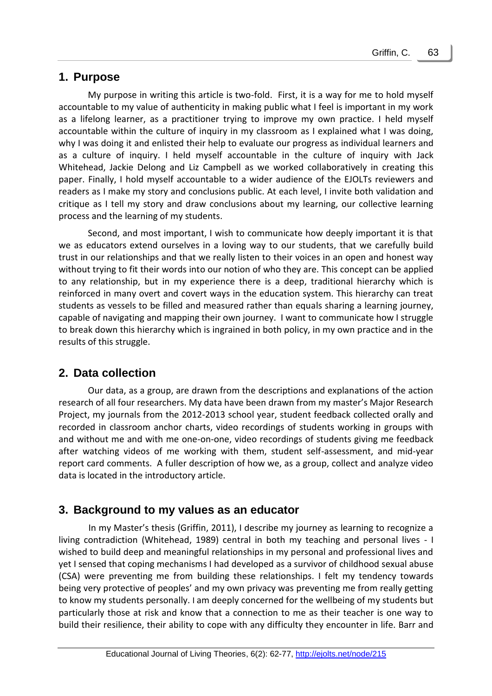### **1. Purpose**

My purpose in writing this article is two-fold. First, it is a way for me to hold myself accountable to my value of authenticity in making public what I feel is important in my work as a lifelong learner, as a practitioner trying to improve my own practice. I held myself accountable within the culture of inquiry in my classroom as I explained what I was doing, why I was doing it and enlisted their help to evaluate our progress as individual learners and as a culture of inquiry. I held myself accountable in the culture of inquiry with Jack Whitehead, Jackie Delong and Liz Campbell as we worked collaboratively in creating this paper. Finally, I hold myself accountable to a wider audience of the EJOLTs reviewers and readers as I make my story and conclusions public. At each level, I invite both validation and critique as I tell my story and draw conclusions about my learning, our collective learning process and the learning of my students.

Second, and most important, I wish to communicate how deeply important it is that we as educators extend ourselves in a loving way to our students, that we carefully build trust in our relationships and that we really listen to their voices in an open and honest way without trying to fit their words into our notion of who they are. This concept can be applied to any relationship, but in my experience there is a deep, traditional hierarchy which is reinforced in many overt and covert ways in the education system. This hierarchy can treat students as vessels to be filled and measured rather than equals sharing a learning journey, capable of navigating and mapping their own journey. I want to communicate how I struggle to break down this hierarchy which is ingrained in both policy, in my own practice and in the results of this struggle.

# **2. Data collection**

Our data, as a group, are drawn from the descriptions and explanations of the action research of all four researchers. My data have been drawn from my master's Major Research Project, my journals from the 2012-2013 school year, student feedback collected orally and recorded in classroom anchor charts, video recordings of students working in groups with and without me and with me one-on-one, video recordings of students giving me feedback after watching videos of me working with them, student self-assessment, and mid-year report card comments. A fuller description of how we, as a group, collect and analyze video data is located in the introductory article.

# **3. Background to my values as an educator**

In my Master's thesis (Griffin, 2011), I describe my journey as learning to recognize a living contradiction (Whitehead, 1989) central in both my teaching and personal lives - I wished to build deep and meaningful relationships in my personal and professional lives and yet I sensed that coping mechanisms I had developed as a survivor of childhood sexual abuse (CSA) were preventing me from building these relationships. I felt my tendency towards being very protective of peoples' and my own privacy was preventing me from really getting to know my students personally. I am deeply concerned for the wellbeing of my students but particularly those at risk and know that a connection to me as their teacher is one way to build their resilience, their ability to cope with any difficulty they encounter in life. Barr and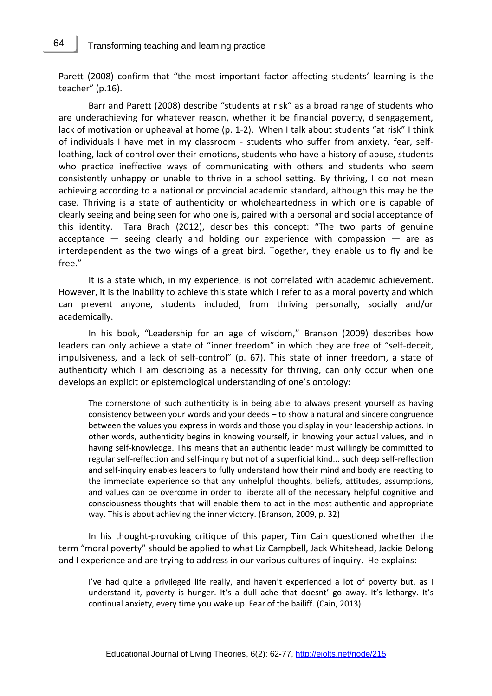64

Parett (2008) confirm that "the most important factor affecting students' learning is the teacher" (p.16).

Barr and Parett (2008) describe "students at risk" as a broad range of students who are underachieving for whatever reason, whether it be financial poverty, disengagement, lack of motivation or upheaval at home (p. 1-2). When I talk about students "at risk" I think of individuals I have met in my classroom - students who suffer from anxiety, fear, selfloathing, lack of control over their emotions, students who have a history of abuse, students who practice ineffective ways of communicating with others and students who seem consistently unhappy or unable to thrive in a school setting. By thriving, I do not mean achieving according to a national or provincial academic standard, although this may be the case. Thriving is a state of authenticity or wholeheartedness in which one is capable of clearly seeing and being seen for who one is, paired with a personal and social acceptance of this identity. Tara Brach (2012), describes this concept: "The two parts of genuine acceptance  $-$  seeing clearly and holding our experience with compassion  $-$  are as interdependent as the two wings of a great bird. Together, they enable us to fly and be free."

It is a state which, in my experience, is not correlated with academic achievement. However, it is the inability to achieve this state which I refer to as a moral poverty and which can prevent anyone, students included, from thriving personally, socially and/or academically.

In his book, "Leadership for an age of wisdom," Branson (2009) describes how leaders can only achieve a state of "inner freedom" in which they are free of "self-deceit, impulsiveness, and a lack of self-control" (p. 67). This state of inner freedom, a state of authenticity which I am describing as a necessity for thriving, can only occur when one develops an explicit or epistemological understanding of one's ontology:

The cornerstone of such authenticity is in being able to always present yourself as having consistency between your words and your deeds – to show a natural and sincere congruence between the values you express in words and those you display in your leadership actions. In other words, authenticity begins in knowing yourself, in knowing your actual values, and in having self-knowledge. This means that an authentic leader must willingly be committed to regular self-reflection and self-inquiry but not of a superficial kind... such deep self-reflection and self-inquiry enables leaders to fully understand how their mind and body are reacting to the immediate experience so that any unhelpful thoughts, beliefs, attitudes, assumptions, and values can be overcome in order to liberate all of the necessary helpful cognitive and consciousness thoughts that will enable them to act in the most authentic and appropriate way. This is about achieving the inner victory. (Branson, 2009, p. 32)

In his thought-provoking critique of this paper, Tim Cain questioned whether the term "moral poverty" should be applied to what Liz Campbell, Jack Whitehead, Jackie Delong and I experience and are trying to address in our various cultures of inquiry. He explains:

I've had quite a privileged life really, and haven't experienced a lot of poverty but, as I understand it, poverty is hunger. It's a dull ache that doesnt' go away. It's lethargy. It's continual anxiety, every time you wake up. Fear of the bailiff. (Cain, 2013)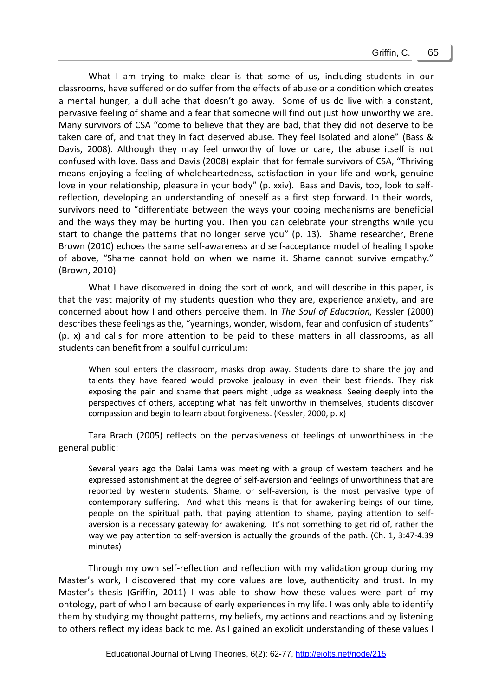What I am trying to make clear is that some of us, including students in our classrooms, have suffered or do suffer from the effects of abuse or a condition which creates a mental hunger, a dull ache that doesn't go away. Some of us do live with a constant, pervasive feeling of shame and a fear that someone will find out just how unworthy we are. Many survivors of CSA "come to believe that they are bad, that they did not deserve to be taken care of, and that they in fact deserved abuse. They feel isolated and alone" (Bass & Davis, 2008). Although they may feel unworthy of love or care, the abuse itself is not confused with love. Bass and Davis (2008) explain that for female survivors of CSA, "Thriving means enjoying a feeling of wholeheartedness, satisfaction in your life and work, genuine love in your relationship, pleasure in your body" (p. xxiv). Bass and Davis, too, look to selfreflection, developing an understanding of oneself as a first step forward. In their words, survivors need to "differentiate between the ways your coping mechanisms are beneficial and the ways they may be hurting you. Then you can celebrate your strengths while you start to change the patterns that no longer serve you" (p. 13). Shame researcher, Brene Brown (2010) echoes the same self-awareness and self-acceptance model of healing I spoke of above, "Shame cannot hold on when we name it. Shame cannot survive empathy." (Brown, 2010)

What I have discovered in doing the sort of work, and will describe in this paper, is that the vast majority of my students question who they are, experience anxiety, and are concerned about how I and others perceive them. In *The Soul of Education,* Kessler (2000) describes these feelings as the, "yearnings, wonder, wisdom, fear and confusion of students" (p. x) and calls for more attention to be paid to these matters in all classrooms, as all students can benefit from a soulful curriculum:

When soul enters the classroom, masks drop away. Students dare to share the joy and talents they have feared would provoke jealousy in even their best friends. They risk exposing the pain and shame that peers might judge as weakness. Seeing deeply into the perspectives of others, accepting what has felt unworthy in themselves, students discover compassion and begin to learn about forgiveness. (Kessler, 2000, p. x)

Tara Brach (2005) reflects on the pervasiveness of feelings of unworthiness in the general public:

Several years ago the Dalai Lama was meeting with a group of western teachers and he expressed astonishment at the degree of self-aversion and feelings of unworthiness that are reported by western students. Shame, or self-aversion, is the most pervasive type of contemporary suffering. And what this means is that for awakening beings of our time, people on the spiritual path, that paying attention to shame, paying attention to selfaversion is a necessary gateway for awakening. It's not something to get rid of, rather the way we pay attention to self-aversion is actually the grounds of the path. (Ch. 1, 3:47-4.39 minutes)

Through my own self-reflection and reflection with my validation group during my Master's work, I discovered that my core values are love, authenticity and trust. In my Master's thesis (Griffin, 2011) I was able to show how these values were part of my ontology, part of who I am because of early experiences in my life. I was only able to identify them by studying my thought patterns, my beliefs, my actions and reactions and by listening to others reflect my ideas back to me. As I gained an explicit understanding of these values I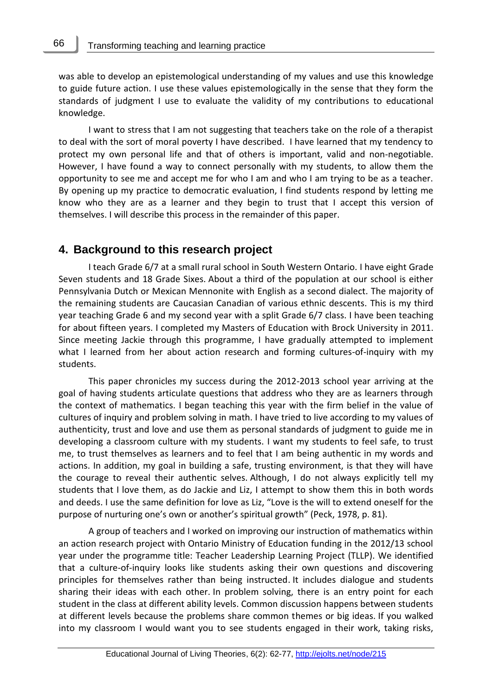66

was able to develop an epistemological understanding of my values and use this knowledge to guide future action. I use these values epistemologically in the sense that they form the standards of judgment I use to evaluate the validity of my contributions to educational knowledge.

I want to stress that I am not suggesting that teachers take on the role of a therapist to deal with the sort of moral poverty I have described. I have learned that my tendency to protect my own personal life and that of others is important, valid and non-negotiable. However, I have found a way to connect personally with my students, to allow them the opportunity to see me and accept me for who I am and who I am trying to be as a teacher. By opening up my practice to democratic evaluation, I find students respond by letting me know who they are as a learner and they begin to trust that I accept this version of themselves. I will describe this process in the remainder of this paper.

#### **4. Background to this research project**

I teach Grade 6/7 at a small rural school in South Western Ontario. I have eight Grade Seven students and 18 Grade Sixes. About a third of the population at our school is either Pennsylvania Dutch or Mexican Mennonite with English as a second dialect. The majority of the remaining students are Caucasian Canadian of various ethnic descents. This is my third year teaching Grade 6 and my second year with a split Grade 6/7 class. I have been teaching for about fifteen years. I completed my Masters of Education with Brock University in 2011. Since meeting Jackie through this programme, I have gradually attempted to implement what I learned from her about action research and forming cultures-of-inquiry with my students.

This paper chronicles my success during the 2012-2013 school year arriving at the goal of having students articulate questions that address who they are as learners through the context of mathematics. I began teaching this year with the firm belief in the value of cultures of inquiry and problem solving in math. I have tried to live according to my values of authenticity, trust and love and use them as personal standards of judgment to guide me in developing a classroom culture with my students. I want my students to feel safe, to trust me, to trust themselves as learners and to feel that I am being authentic in my words and actions. In addition, my goal in building a safe, trusting environment, is that they will have the courage to reveal their authentic selves. Although, I do not always explicitly tell my students that I love them, as do Jackie and Liz, I attempt to show them this in both words and deeds. I use the same definition for love as Liz, "Love is the will to extend oneself for the purpose of nurturing one's own or another's spiritual growth" (Peck, 1978, p. 81).

A group of teachers and I worked on improving our instruction of mathematics within an action research project with Ontario Ministry of Education funding in the 2012/13 school year under the programme title: Teacher Leadership Learning Project (TLLP). We identified that a culture-of-inquiry looks like students asking their own questions and discovering principles for themselves rather than being instructed. It includes dialogue and students sharing their ideas with each other. In problem solving, there is an entry point for each student in the class at different ability levels. Common discussion happens between students at different levels because the problems share common themes or big ideas. If you walked into my classroom I would want you to see students engaged in their work, taking risks,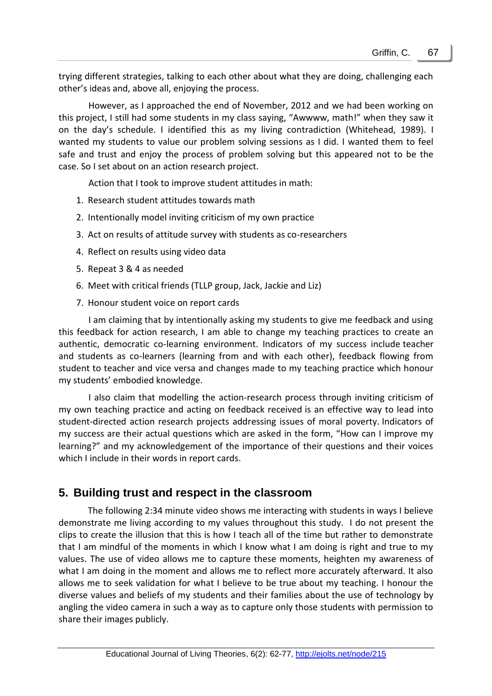trying different strategies, talking to each other about what they are doing, challenging each other's ideas and, above all, enjoying the process.

However, as I approached the end of November, 2012 and we had been working on this project, I still had some students in my class saying, "Awwww, math!" when they saw it on the day's schedule. I identified this as my living contradiction (Whitehead, 1989). I wanted my students to value our problem solving sessions as I did. I wanted them to feel safe and trust and enjoy the process of problem solving but this appeared not to be the case. So I set about on an action research project.

Action that I took to improve student attitudes in math:

- 1. Research student attitudes towards math
- 2. Intentionally model inviting criticism of my own practice
- 3. Act on results of attitude survey with students as co-researchers
- 4. Reflect on results using video data
- 5. Repeat 3 & 4 as needed
- 6. Meet with critical friends (TLLP group, Jack, Jackie and Liz)
- 7. Honour student voice on report cards

I am claiming that by intentionally asking my students to give me feedback and using this feedback for action research, I am able to change my teaching practices to create an authentic, democratic co-learning environment. Indicators of my success include teacher and students as co-learners (learning from and with each other), feedback flowing from student to teacher and vice versa and changes made to my teaching practice which honour my students' embodied knowledge.

I also claim that modelling the action-research process through inviting criticism of my own teaching practice and acting on feedback received is an effective way to lead into student-directed action research projects addressing issues of moral poverty. Indicators of my success are their actual questions which are asked in the form, "How can I improve my learning?" and my acknowledgement of the importance of their questions and their voices which I include in their words in report cards.

# **5. Building trust and respect in the classroom**

The following 2:34 minute video shows me interacting with students in ways I believe demonstrate me living according to my values throughout this study. I do not present the clips to create the illusion that this is how I teach all of the time but rather to demonstrate that I am mindful of the moments in which I know what I am doing is right and true to my values. The use of video allows me to capture these moments, heighten my awareness of what I am doing in the moment and allows me to reflect more accurately afterward. It also allows me to seek validation for what I believe to be true about my teaching. I honour the diverse values and beliefs of my students and their families about the use of technology by angling the video camera in such a way as to capture only those students with permission to share their images publicly.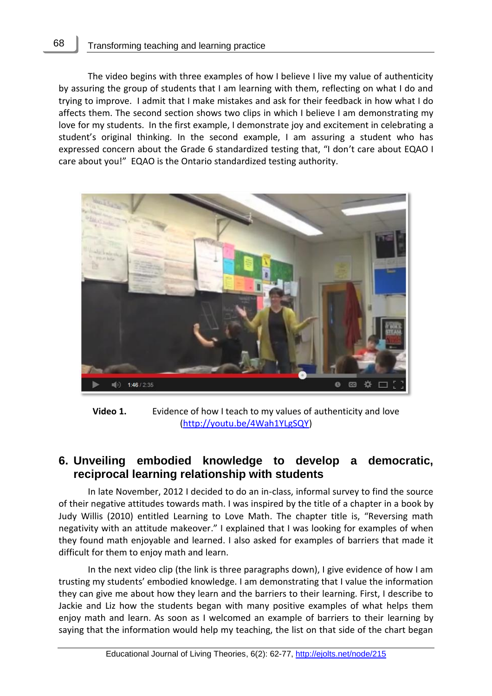The video begins with three examples of how I believe I live my value of authenticity by assuring the group of students that I am learning with them, reflecting on what I do and trying to improve. I admit that I make mistakes and ask for their feedback in how what I do affects them. The second section shows two clips in which I believe I am demonstrating my love for my students. In the first example, I demonstrate joy and excitement in celebrating a student's original thinking. In the second example, I am assuring a student who has expressed concern about the Grade 6 standardized testing that, "I don't care about EQAO I care about you!" EQAO is the Ontario standardized testing authority.



**Video 1.** Evidence of how I teach to my values of authenticity and love [\(http://youtu.be/4Wah1YLgSQY\)](http://youtu.be/4Wah1YLgSQY)

# **6. Unveiling embodied knowledge to develop a democratic, reciprocal learning relationship with students**

In late November, 2012 I decided to do an in-class, informal survey to find the source of their negative attitudes towards math. I was inspired by the title of a chapter in a book by Judy Willis (2010) entitled Learning to Love Math. The chapter title is, "Reversing math negativity with an attitude makeover." I explained that I was looking for examples of when they found math enjoyable and learned. I also asked for examples of barriers that made it difficult for them to enjoy math and learn.

In the next video clip (the link is three paragraphs down), I give evidence of how I am trusting my students' embodied knowledge. I am demonstrating that I value the information they can give me about how they learn and the barriers to their learning. First, I describe to Jackie and Liz how the students began with many positive examples of what helps them enjoy math and learn. As soon as I welcomed an example of barriers to their learning by saying that the information would help my teaching, the list on that side of the chart began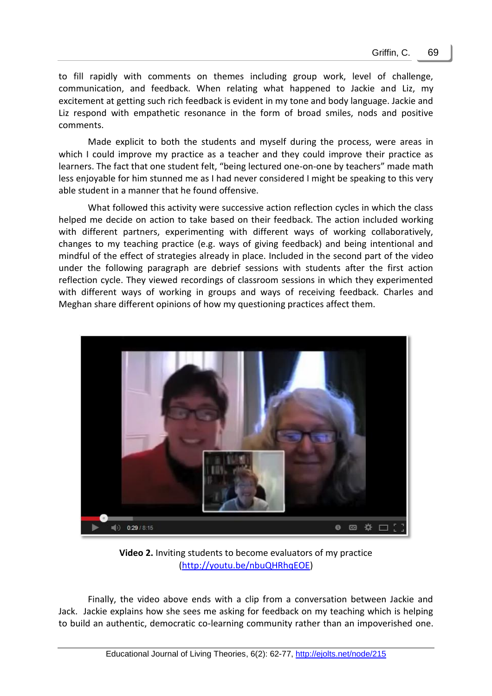to fill rapidly with comments on themes including group work, level of challenge, communication, and feedback. When relating what happened to Jackie and Liz, my excitement at getting such rich feedback is evident in my tone and body language. Jackie and Liz respond with empathetic resonance in the form of broad smiles, nods and positive comments.

Made explicit to both the students and myself during the process, were areas in which I could improve my practice as a teacher and they could improve their practice as learners. The fact that one student felt, "being lectured one-on-one by teachers" made math less enjoyable for him stunned me as I had never considered I might be speaking to this very able student in a manner that he found offensive.

What followed this activity were successive action reflection cycles in which the class helped me decide on action to take based on their feedback. The action included working with different partners, experimenting with different ways of working collaboratively, changes to my teaching practice (e.g. ways of giving feedback) and being intentional and mindful of the effect of strategies already in place. Included in the second part of the video under the following paragraph are debrief sessions with students after the first action reflection cycle. They viewed recordings of classroom sessions in which they experimented with different ways of working in groups and ways of receiving feedback. Charles and Meghan share different opinions of how my questioning practices affect them.



**Video 2.** Inviting students to become evaluators of my practice [\(http://youtu.be/nbuQHRhqEOE\)](http://youtu.be/nbuQHRhqEOE)

Finally, the video above ends with a clip from a conversation between Jackie and Jack. Jackie explains how she sees me asking for feedback on my teaching which is helping to build an authentic, democratic co-learning community rather than an impoverished one.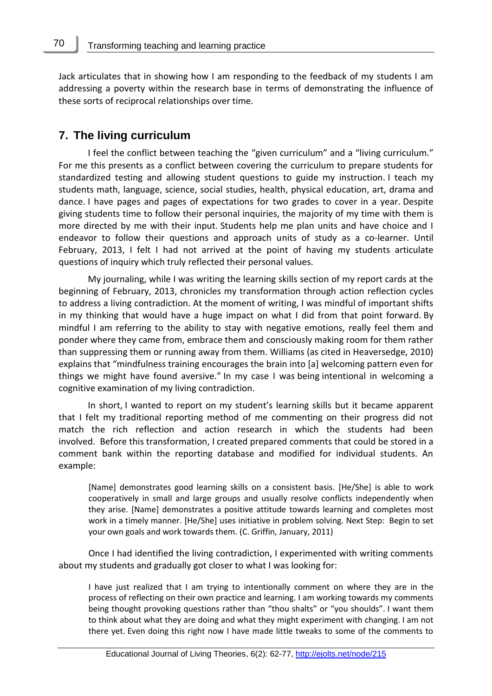Jack articulates that in showing how I am responding to the feedback of my students I am addressing a poverty within the research base in terms of demonstrating the influence of these sorts of reciprocal relationships over time.

#### **7. The living curriculum**

70

I feel the conflict between teaching the "given curriculum" and a "living curriculum." For me this presents as a conflict between covering the curriculum to prepare students for standardized testing and allowing student questions to guide my instruction. I teach my students math, language, science, social studies, health, physical education, art, drama and dance. I have pages and pages of expectations for two grades to cover in a year. Despite giving students time to follow their personal inquiries, the majority of my time with them is more directed by me with their input. Students help me plan units and have choice and I endeavor to follow their questions and approach units of study as a co-learner. Until February, 2013, I felt I had not arrived at the point of having my students articulate questions of inquiry which truly reflected their personal values.

My journaling, while I was writing the learning skills section of my report cards at the beginning of February, 2013, chronicles my transformation through action reflection cycles to address a living contradiction. At the moment of writing, I was mindful of important shifts in my thinking that would have a huge impact on what I did from that point forward. By mindful I am referring to the ability to stay with negative emotions, really feel them and ponder where they came from, embrace them and consciously making room for them rather than suppressing them or running away from them. Williams (as cited in Heaversedge, 2010) explains that "mindfulness training encourages the brain into [a] welcoming pattern even for things we might have found aversive." In my case I was being intentional in welcoming a cognitive examination of my living contradiction.

In short, I wanted to report on my student's learning skills but it became apparent that I felt my traditional reporting method of me commenting on their progress did not match the rich reflection and action research in which the students had been involved. Before this transformation, I created prepared comments that could be stored in a comment bank within the reporting database and modified for individual students. An example:

[Name] demonstrates good learning skills on a consistent basis. [He/She] is able to work cooperatively in small and large groups and usually resolve conflicts independently when they arise. [Name] demonstrates a positive attitude towards learning and completes most work in a timely manner. [He/She] uses initiative in problem solving. Next Step: Begin to set your own goals and work towards them. (C. Griffin, January, 2011)

Once I had identified the living contradiction, I experimented with writing comments about my students and gradually got closer to what I was looking for:

I have just realized that I am trying to intentionally comment on where they are in the process of reflecting on their own practice and learning. I am working towards my comments being thought provoking questions rather than "thou shalts" or "you shoulds". I want them to think about what they are doing and what they might experiment with changing. I am not there yet. Even doing this right now I have made little tweaks to some of the comments to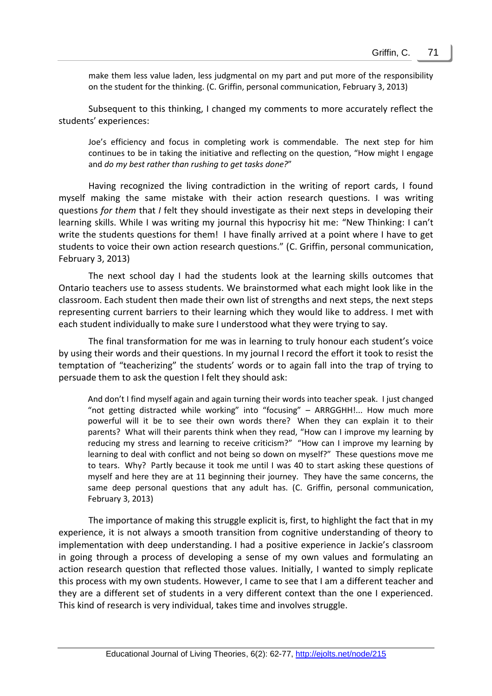make them less value laden, less judgmental on my part and put more of the responsibility on the student for the thinking. (C. Griffin, personal communication, February 3, 2013)

Subsequent to this thinking, I changed my comments to more accurately reflect the students' experiences:

Joe's efficiency and focus in completing work is commendable. The next step for him continues to be in taking the initiative and reflecting on the question, "How might I engage and *do my best rather than rushing to get tasks done?*"

Having recognized the living contradiction in the writing of report cards, I found myself making the same mistake with their action research questions. I was writing questions *for them* that *I* felt they should investigate as their next steps in developing their learning skills. While I was writing my journal this hypocrisy hit me: "New Thinking: I can't write the students questions for them! I have finally arrived at a point where I have to get students to voice their own action research questions." (C. Griffin, personal communication, February 3, 2013)

The next school day I had the students look at the learning skills outcomes that Ontario teachers use to assess students. We brainstormed what each might look like in the classroom. Each student then made their own list of strengths and next steps, the next steps representing current barriers to their learning which they would like to address. I met with each student individually to make sure I understood what they were trying to say.

The final transformation for me was in learning to truly honour each student's voice by using their words and their questions. In my journal I record the effort it took to resist the temptation of "teacherizing" the students' words or to again fall into the trap of trying to persuade them to ask the question I felt they should ask:

And don't I find myself again and again turning their words into teacher speak. I just changed "not getting distracted while working" into "focusing" – ARRGGHH!... How much more powerful will it be to see their own words there? When they can explain it to their parents? What will their parents think when they read, "How can I improve my learning by reducing my stress and learning to receive criticism?" "How can I improve my learning by learning to deal with conflict and not being so down on myself?" These questions move me to tears. Why? Partly because it took me until I was 40 to start asking these questions of myself and here they are at 11 beginning their journey. They have the same concerns, the same deep personal questions that any adult has. (C. Griffin, personal communication, February 3, 2013)

The importance of making this struggle explicit is, first, to highlight the fact that in my experience, it is not always a smooth transition from cognitive understanding of theory to implementation with deep understanding. I had a positive experience in Jackie's classroom in going through a process of developing a sense of my own values and formulating an action research question that reflected those values. Initially, I wanted to simply replicate this process with my own students. However, I came to see that I am a different teacher and they are a different set of students in a very different context than the one I experienced. This kind of research is very individual, takes time and involves struggle.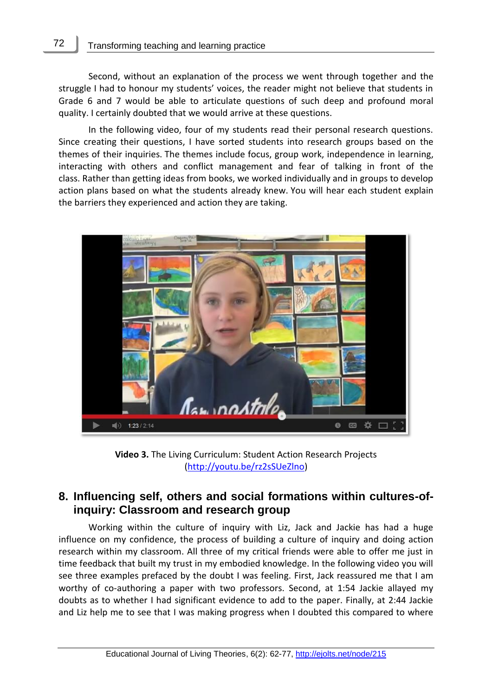Second, without an explanation of the process we went through together and the struggle I had to honour my students' voices, the reader might not believe that students in Grade 6 and 7 would be able to articulate questions of such deep and profound moral quality. I certainly doubted that we would arrive at these questions.

In the following video, four of my students read their personal research questions. Since creating their questions, I have sorted students into research groups based on the themes of their inquiries. The themes include focus, group work, independence in learning, interacting with others and conflict management and fear of talking in front of the class. Rather than getting ideas from books, we worked individually and in groups to develop action plans based on what the students already knew. You will hear each student explain the barriers they experienced and action they are taking.



**Video 3.** The Living Curriculum: Student Action Research Projects [\(http://youtu.be/rz2sSUeZlno\)](http://youtu.be/rz2sSUeZlno)

# **8. Influencing self, others and social formations within cultures-ofinquiry: Classroom and research group**

Working within the culture of inquiry with Liz, Jack and Jackie has had a huge influence on my confidence, the process of building a culture of inquiry and doing action research within my classroom. All three of my critical friends were able to offer me just in time feedback that built my trust in my embodied knowledge. In the following video you will see three examples prefaced by the doubt I was feeling. First, Jack reassured me that I am worthy of co-authoring a paper with two professors. Second, at 1:54 Jackie allayed my doubts as to whether I had significant evidence to add to the paper. Finally, at 2:44 Jackie and Liz help me to see that I was making progress when I doubted this compared to where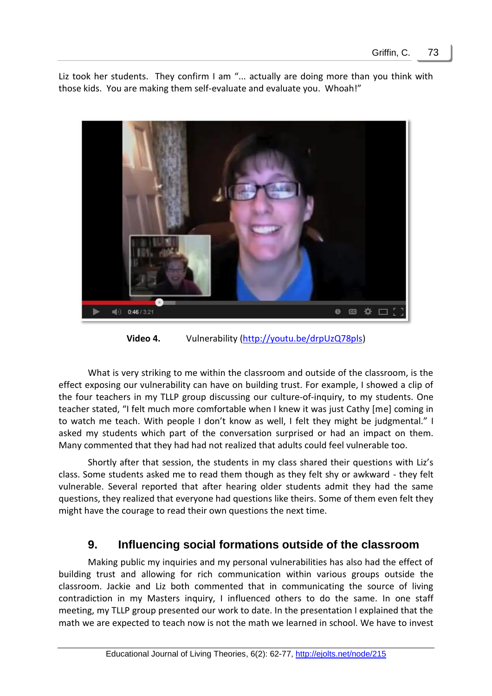Liz took her students. They confirm I am "... actually are doing more than you think with those kids. You are making them self-evaluate and evaluate you. Whoah!"



**Video 4.** Vulnerability [\(http://youtu.be/drpUzQ78pls\)](http://youtu.be/drpUzQ78pls)

What is very striking to me within the classroom and outside of the classroom, is the effect exposing our vulnerability can have on building trust. For example, I showed a clip of the four teachers in my TLLP group discussing our culture-of-inquiry, to my students. One teacher stated, "I felt much more comfortable when I knew it was just Cathy [me] coming in to watch me teach. With people I don't know as well, I felt they might be judgmental." I asked my students which part of the conversation surprised or had an impact on them. Many commented that they had had not realized that adults could feel vulnerable too.

Shortly after that session, the students in my class shared their questions with Liz's class. Some students asked me to read them though as they felt shy or awkward - they felt vulnerable. Several reported that after hearing older students admit they had the same questions, they realized that everyone had questions like theirs. Some of them even felt they might have the courage to read their own questions the next time.

# **9. Influencing social formations outside of the classroom**

Making public my inquiries and my personal vulnerabilities has also had the effect of building trust and allowing for rich communication within various groups outside the classroom. Jackie and Liz both commented that in communicating the source of living contradiction in my Masters inquiry, I influenced others to do the same. In one staff meeting, my TLLP group presented our work to date. In the presentation I explained that the math we are expected to teach now is not the math we learned in school. We have to invest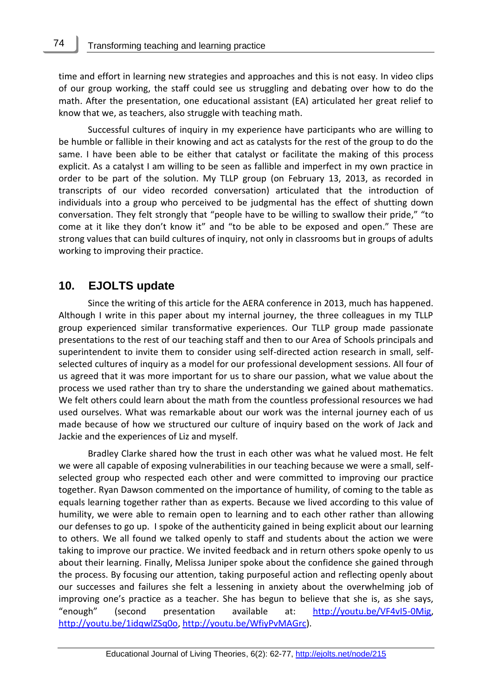time and effort in learning new strategies and approaches and this is not easy. In video clips of our group working, the staff could see us struggling and debating over how to do the math. After the presentation, one educational assistant (EA) articulated her great relief to know that we, as teachers, also struggle with teaching math.

Successful cultures of inquiry in my experience have participants who are willing to be humble or fallible in their knowing and act as catalysts for the rest of the group to do the same. I have been able to be either that catalyst or facilitate the making of this process explicit. As a catalyst I am willing to be seen as fallible and imperfect in my own practice in order to be part of the solution. My TLLP group (on February 13, 2013, as recorded in transcripts of our video recorded conversation) articulated that the introduction of individuals into a group who perceived to be judgmental has the effect of shutting down conversation. They felt strongly that "people have to be willing to swallow their pride," "to come at it like they don't know it" and "to be able to be exposed and open." These are strong values that can build cultures of inquiry, not only in classrooms but in groups of adults working to improving their practice.

### **10. EJOLTS update**

Since the writing of this article for the AERA conference in 2013, much has happened. Although I write in this paper about my internal journey, the three colleagues in my TLLP group experienced similar transformative experiences. Our TLLP group made passionate presentations to the rest of our teaching staff and then to our Area of Schools principals and superintendent to invite them to consider using self-directed action research in small, selfselected cultures of inquiry as a model for our professional development sessions. All four of us agreed that it was more important for us to share our passion, what we value about the process we used rather than try to share the understanding we gained about mathematics. We felt others could learn about the math from the countless professional resources we had used ourselves. What was remarkable about our work was the internal journey each of us made because of how we structured our culture of inquiry based on the work of Jack and Jackie and the experiences of Liz and myself.

Bradley Clarke shared how the trust in each other was what he valued most. He felt we were all capable of exposing vulnerabilities in our teaching because we were a small, selfselected group who respected each other and were committed to improving our practice together. Ryan Dawson commented on the importance of humility, of coming to the table as equals learning together rather than as experts. Because we lived according to this value of humility, we were able to remain open to learning and to each other rather than allowing our defenses to go up. I spoke of the authenticity gained in being explicit about our learning to others. We all found we talked openly to staff and students about the action we were taking to improve our practice. We invited feedback and in return others spoke openly to us about their learning. Finally, Melissa Juniper spoke about the confidence she gained through the process. By focusing our attention, taking purposeful action and reflecting openly about our successes and failures she felt a lessening in anxiety about the overwhelming job of improving one's practice as a teacher. She has begun to believe that she is, as she says, "enough" (second presentation available at: [http://youtu.be/VF4vI5-0Mig,](http://youtu.be/VF4vI5-0Mig) [http://youtu.be/1idqwlZSq0o,](http://youtu.be/1idqwlZSq0o) [http://youtu.be/WfiyPvMAGrc\)](http://youtu.be/WfiyPvMAGrc).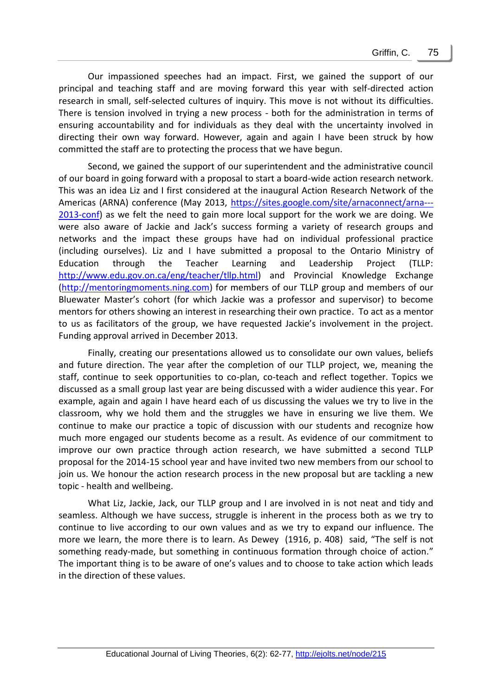Our impassioned speeches had an impact. First, we gained the support of our principal and teaching staff and are moving forward this year with self-directed action research in small, self-selected cultures of inquiry. This move is not without its difficulties. There is tension involved in trying a new process - both for the administration in terms of ensuring accountability and for individuals as they deal with the uncertainty involved in directing their own way forward. However, again and again I have been struck by how committed the staff are to protecting the process that we have begun.

Second, we gained the support of our superintendent and the administrative council of our board in going forward with a proposal to start a board-wide action research network. This was an idea Liz and I first considered at the inaugural Action Research Network of the Americas (ARNA) conference (May 2013, [https://sites.google.com/site/arnaconnect/arna---](https://sites.google.com/site/arnaconnect/arna---2013-conf) [2013-conf\)](https://sites.google.com/site/arnaconnect/arna---2013-conf) as we felt the need to gain more local support for the work we are doing. We were also aware of Jackie and Jack's success forming a variety of research groups and networks and the impact these groups have had on individual professional practice (including ourselves). Liz and I have submitted a proposal to the Ontario Ministry of Education through the Teacher Learning and Leadership Project (TLLP: [http://www.edu.gov.on.ca/eng/teacher/tllp.html\)](http://www.edu.gov.on.ca/eng/teacher/tllp.html) and Provincial Knowledge Exchange [\(http://mentoringmoments.ning.com\)](http://mentoringmoments.ning.com/) for members of our TLLP group and members of our Bluewater Master's cohort (for which Jackie was a professor and supervisor) to become mentors for others showing an interest in researching their own practice. To act as a mentor to us as facilitators of the group, we have requested Jackie's involvement in the project. Funding approval arrived in December 2013.

Finally, creating our presentations allowed us to consolidate our own values, beliefs and future direction. The year after the completion of our TLLP project, we, meaning the staff, continue to seek opportunities to co-plan, co-teach and reflect together. Topics we discussed as a small group last year are being discussed with a wider audience this year. For example, again and again I have heard each of us discussing the values we try to live in the classroom, why we hold them and the struggles we have in ensuring we live them. We continue to make our practice a topic of discussion with our students and recognize how much more engaged our students become as a result. As evidence of our commitment to improve our own practice through action research, we have submitted a second TLLP proposal for the 2014-15 school year and have invited two new members from our school to join us. We honour the action research process in the new proposal but are tackling a new topic - health and wellbeing.

What Liz, Jackie, Jack, our TLLP group and I are involved in is not neat and tidy and seamless. Although we have success, struggle is inherent in the process both as we try to continue to live according to our own values and as we try to expand our influence. The more we learn, the more there is to learn. As Dewey (1916, p. 408) said, "The self is not something ready-made, but something in continuous formation through choice of action." The important thing is to be aware of one's values and to choose to take action which leads in the direction of these values.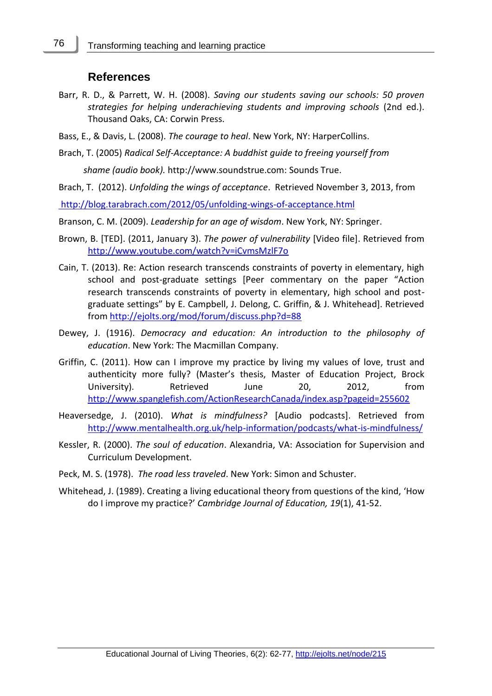# **References**

- Barr, R. D., & Parrett, W. H. (2008). *Saving our students saving our schools: 50 proven strategies for helping underachieving students and improving schools* (2nd ed.). Thousand Oaks, CA: Corwin Press.
- Bass, E., & Davis, L. (2008). *The courage to heal*. New York, NY: HarperCollins.
- Brach, T. (2005) *Radical Self-Acceptance: A buddhist guide to freeing yourself from*

 *shame (audio book).* http://www.soundstrue.com: Sounds True.

Brach, T. (2012). *Unfolding the wings of acceptance*. Retrieved November 3, 2013, from

<http://blog.tarabrach.com/2012/05/unfolding-wings-of-acceptance.html>

Branson, C. M. (2009). *Leadership for an age of wisdom*. New York, NY: Springer.

- Brown, B. [TED]. (2011, January 3). *The power of vulnerability* [Video file]. Retrieved from <http://www.youtube.com/watch?v=iCvmsMzlF7o>
- Cain, T. (2013). Re: Action research transcends constraints of poverty in elementary, high school and post-graduate settings [Peer commentary on the paper "Action research transcends constraints of poverty in elementary, high school and postgraduate settings" by E. Campbell, J. Delong, C. Griffin, & J. Whitehead]. Retrieved from<http://ejolts.org/mod/forum/discuss.php?d=88>
- Dewey, J. (1916). *Democracy and education: An introduction to the philosophy of education*. New York: The Macmillan Company.
- Griffin, C. (2011). [How can I improve my practice by living my values of love,](http://www.spanglefish.com/ActionResearchCanada/documents/BluewaterMRP/Griffin%20MRP%202.pdf) [trust and](http://www.spanglefish.com/ActionResearchCanada/documents/BluewaterMRP/Griffin%20MRP%202.pdf)  [authenticity more fully?](http://www.spanglefish.com/ActionResearchCanada/documents/BluewaterMRP/Griffin%20MRP%202.pdf) (Master's thesis, Master of Education Project, Brock University). Retrieved June 20, 2012, from <http://www.spanglefish.com/ActionResearchCanada/index.asp?pageid=255602>
- Heaversedge, J. (2010). *What is mindfulness?* [Audio podcasts]. Retrieved from <http://www.mentalhealth.org.uk/help-information/podcasts/what-is-mindfulness/>
- Kessler, R. (2000). *The soul of education*. Alexandria, VA: Association for Supervision and Curriculum Development.
- Peck, M. S. (1978). *The road less traveled*. New York: Simon and Schuster.
- Whitehead, J. (1989). Creating a living educational theory from questions of the kind, 'How do I improve my practice?' *Cambridge Journal of Education, 19*(1), 41-52.